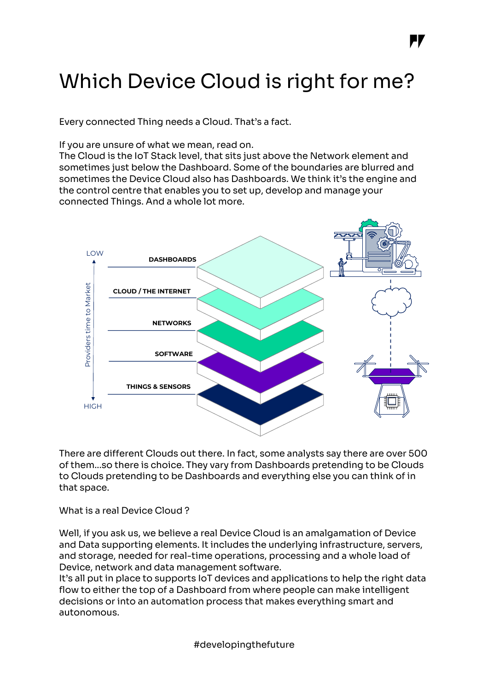# Which Device Cloud is right for me?

Every connected Thing needs a Cloud. That's a fact.

If you are unsure of what we mean, read on.

The Cloud is the IoT Stack level, that sits just above the Network element and sometimes just below the Dashboard. Some of the boundaries are blurred and sometimes the Device Cloud also has Dashboards. We think it's the engine and the control centre that enables you to set up, develop and manage your connected Things. And a whole lot more.



There are different Clouds out there. In fact, some analysts say there are over 500 of them...so there is choice. They vary from Dashboards pretending to be Clouds to Clouds pretending to be Dashboards and everything else you can think of in that space.

What is a real Device Cloud ?

Well, if you ask us, we believe a real Device Cloud is an amalgamation of Device and Data supporting elements. It includes the underlying infrastructure, servers, and storage, needed for real-time operations, processing and a whole load of Device, network and data management software.

It's all put in place to supports IoT devices and applications to help the right data flow to either the top of a Dashboard from where people can make intelligent decisions or into an automation process that makes everything smart and autonomous.

#developingthefuture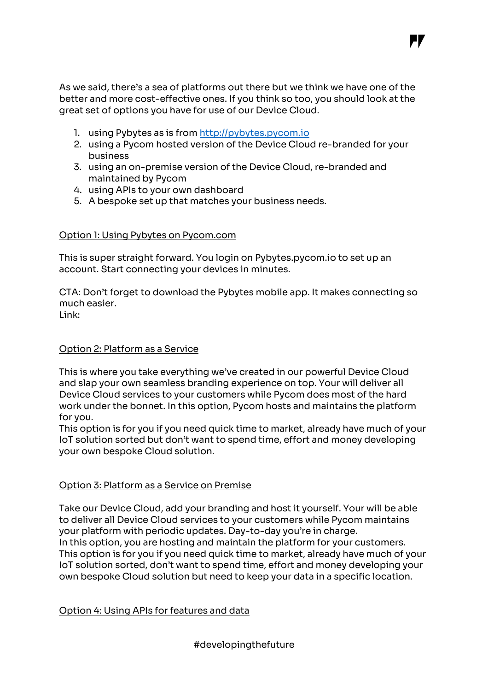As we said, there's a sea of platforms out there but we think we have one of the better and more cost-effective ones. If you think so too, you should look at the great set of options you have for use of our Device Cloud.

, T

- 1. using Pybytes as is from http://pybytes.pycom.io
- 2. using a Pycom hosted version of the Device Cloud re-branded for your business
- 3. using an on-premise version of the Device Cloud, re-branded and maintained by Pycom
- 4. using APIs to your own dashboard
- 5. A bespoke set up that matches your business needs.

## Option 1: Using Pybytes on Pycom.com

This is super straight forward. You login on Pybytes.pycom.io to set up an account. Start connecting your devices in minutes.

CTA: Don't forget to download the Pybytes mobile app. It makes connecting so much easier.

Link:

## Option 2: Platform as a Service

This is where you take everything we've created in our powerful Device Cloud and slap your own seamless branding experience on top. Your will deliver all Device Cloud services to your customers while Pycom does most of the hard work under the bonnet. In this option, Pycom hosts and maintains the platform for you.

This option is for you if you need quick time to market, already have much of your IoT solution sorted but don't want to spend time, effort and money developing your own bespoke Cloud solution.

# Option 3: Platform as a Service on Premise

Take our Device Cloud, add your branding and host it yourself. Your will be able to deliver all Device Cloud services to your customers while Pycom maintains your platform with periodic updates. Day-to-day you're in charge. In this option, you are hosting and maintain the platform for your customers. This option is for you if you need quick time to market, already have much of your IoT solution sorted, don't want to spend time, effort and money developing your own bespoke Cloud solution but need to keep your data in a specific location.

### Option 4: Using APIs for features and data